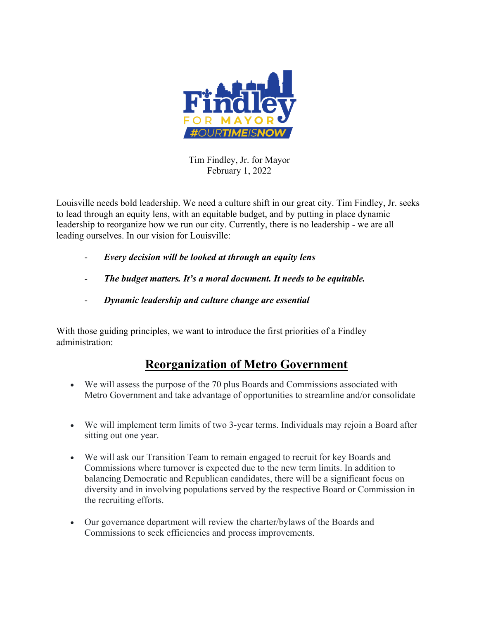

Tim Findley, Jr. for Mayor February 1, 2022

Louisville needs bold leadership. We need a culture shift in our great city. Tim Findley, Jr. seeks to lead through an equity lens, with an equitable budget, and by putting in place dynamic leadership to reorganize how we run our city. Currently, there is no leadership - we are all leading ourselves. In our vision for Louisville:

- *Every decision will be looked at through an equity lens*
- The budget matters. It's a moral document. It needs to be equitable.
- *Dynamic leadership and culture change are essential*

With those guiding principles, we want to introduce the first priorities of a Findley administration:

## **Reorganization of Metro Government**

- We will assess the purpose of the 70 plus Boards and Commissions associated with Metro Government and take advantage of opportunities to streamline and/or consolidate
- We will implement term limits of two 3-year terms. Individuals may rejoin a Board after sitting out one year.
- We will ask our Transition Team to remain engaged to recruit for key Boards and Commissions where turnover is expected due to the new term limits. In addition to balancing Democratic and Republican candidates, there will be a significant focus on diversity and in involving populations served by the respective Board or Commission in the recruiting efforts.
- Our governance department will review the charter/bylaws of the Boards and Commissions to seek efficiencies and process improvements.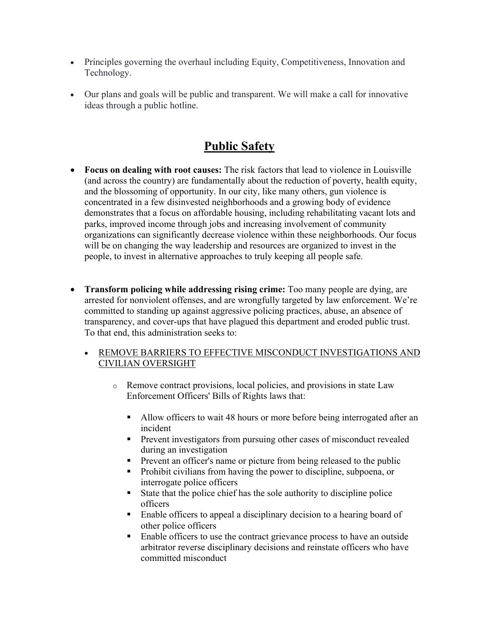- Principles governing the overhaul including Equity, Competitiveness, Innovation and Technology.
- Our plans and goals will be public and transparent. We will make a call for innovative ideas through a public hotline.

# **Public Safety**

- **Focus on dealing with root causes:** The risk factors that lead to violence in Louisville (and across the country) are fundamentally about the reduction of poverty, health equity, and the blossoming of opportunity. In our city, like many others, gun violence is concentrated in a few disinvested neighborhoods and a growing body of evidence demonstrates that a focus on affordable housing, including rehabilitating vacant lots and parks, improved income through jobs and increasing involvement of community organizations can significantly decrease violence within these neighborhoods. Our focus will be on changing the way leadership and resources are organized to invest in the people, to invest in alternative approaches to truly keeping all people safe.
- **Transform policing while addressing rising crime:** Too many people are dying, are arrested for nonviolent offenses, and are wrongfully targeted by law enforcement. We're committed to standing up against aggressive policing practices, abuse, an absence of transparency, and cover-ups that have plagued this department and eroded public trust. To that end, this administration seeks to:
	- REMOVE BARRIERS TO EFFECTIVE MISCONDUCT INVESTIGATIONS AND CIVILIAN OVERSIGHT
		- o Remove contract provisions, local policies, and provisions in state Law Enforcement Officers' Bills of Rights laws that:
			- Allow officers to wait 48 hours or more before being interrogated after an incident
			- Prevent investigators from pursuing other cases of misconduct revealed during an investigation
			- Prevent an officer's name or picture from being released to the public
			- § Prohibit civilians from having the power to discipline, subpoena, or interrogate police officers
			- State that the police chief has the sole authority to discipline police officers
			- Enable officers to appeal a disciplinary decision to a hearing board of other police officers
			- Enable officers to use the contract grievance process to have an outside arbitrator reverse disciplinary decisions and reinstate officers who have committed misconduct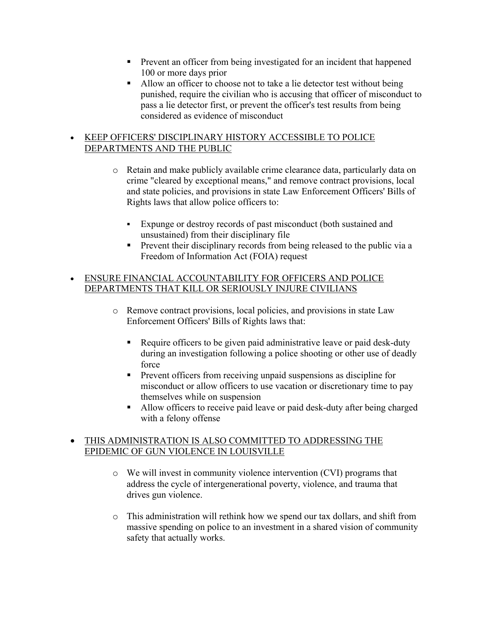- Prevent an officer from being investigated for an incident that happened 100 or more days prior
- Allow an officer to choose not to take a lie detector test without being punished, require the civilian who is accusing that officer of misconduct to pass a lie detector first, or prevent the officer's test results from being considered as evidence of misconduct

### • KEEP OFFICERS' DISCIPLINARY HISTORY ACCESSIBLE TO POLICE DEPARTMENTS AND THE PUBLIC

- o Retain and make publicly available crime clearance data, particularly data on crime "cleared by exceptional means," and remove contract provisions, local and state policies, and provisions in state Law Enforcement Officers' Bills of Rights laws that allow police officers to:
	- Expunge or destroy records of past misconduct (both sustained and unsustained) from their disciplinary file
	- **•** Prevent their disciplinary records from being released to the public via a Freedom of Information Act (FOIA) request

### • ENSURE FINANCIAL ACCOUNTABILITY FOR OFFICERS AND POLICE DEPARTMENTS THAT KILL OR SERIOUSLY INJURE CIVILIANS

- o Remove contract provisions, local policies, and provisions in state Law Enforcement Officers' Bills of Rights laws that:
	- Require officers to be given paid administrative leave or paid desk-duty during an investigation following a police shooting or other use of deadly force
	- **•** Prevent officers from receiving unpaid suspensions as discipline for misconduct or allow officers to use vacation or discretionary time to pay themselves while on suspension
	- Allow officers to receive paid leave or paid desk-duty after being charged with a felony offense

#### • THIS ADMINISTRATION IS ALSO COMMITTED TO ADDRESSING THE EPIDEMIC OF GUN VIOLENCE IN LOUISVILLE

- o We will invest in community violence intervention (CVI) programs that address the cycle of intergenerational poverty, violence, and trauma that drives gun violence.
- o This administration will rethink how we spend our tax dollars, and shift from massive spending on police to an investment in a shared vision of community safety that actually works.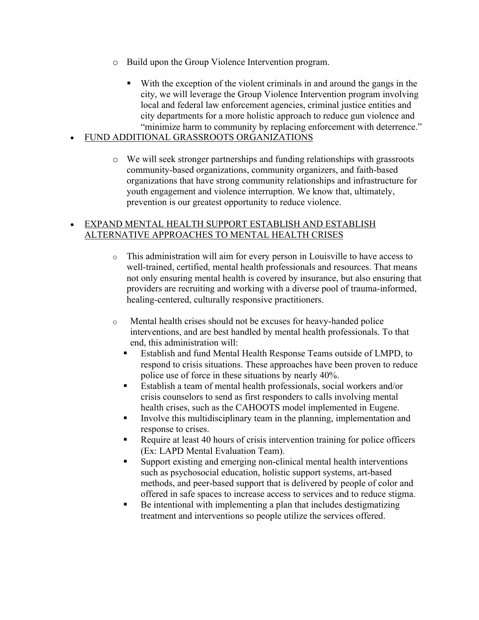- o Build upon the Group Violence Intervention program.
	- § With the exception of the violent criminals in and around the gangs in the city, we will leverage the Group Violence Intervention program involving local and federal law enforcement agencies, criminal justice entities and city departments for a more holistic approach to reduce gun violence and "minimize harm to community by replacing enforcement with deterrence."
- FUND ADDITIONAL GRASSROOTS ORGANIZATIONS
	- o We will seek stronger partnerships and funding relationships with grassroots community-based organizations, community organizers, and faith-based organizations that have strong community relationships and infrastructure for youth engagement and violence interruption. We know that, ultimately, prevention is our greatest opportunity to reduce violence.

#### • EXPAND MENTAL HEALTH SUPPORT ESTABLISH AND ESTABLISH ALTERNATIVE APPROACHES TO MENTAL HEALTH CRISES

- o This administration will aim for every person in Louisville to have access to well-trained, certified, mental health professionals and resources. That means not only ensuring mental health is covered by insurance, but also ensuring that providers are recruiting and working with a diverse pool of trauma-informed, healing-centered, culturally responsive practitioners.
- o Mental health crises should not be excuses for heavy-handed police interventions, and are best handled by mental health professionals. To that end, this administration will:
	- § Establish and fund Mental Health Response Teams outside of LMPD, to respond to crisis situations. These approaches have been proven to reduce police use of force in these situations by nearly 40%.
	- Establish a team of mental health professionals, social workers and/or crisis counselors to send as first responders to calls involving mental health crises, such as the CAHOOTS model implemented in Eugene.
	- Involve this multidisciplinary team in the planning, implementation and response to crises.
	- Require at least 40 hours of crisis intervention training for police officers (Ex: LAPD Mental Evaluation Team).
	- § Support existing and emerging non-clinical mental health interventions such as psychosocial education, holistic support systems, art-based methods, and peer-based support that is delivered by people of color and offered in safe spaces to increase access to services and to reduce stigma.
	- § Be intentional with implementing a plan that includes destigmatizing treatment and interventions so people utilize the services offered.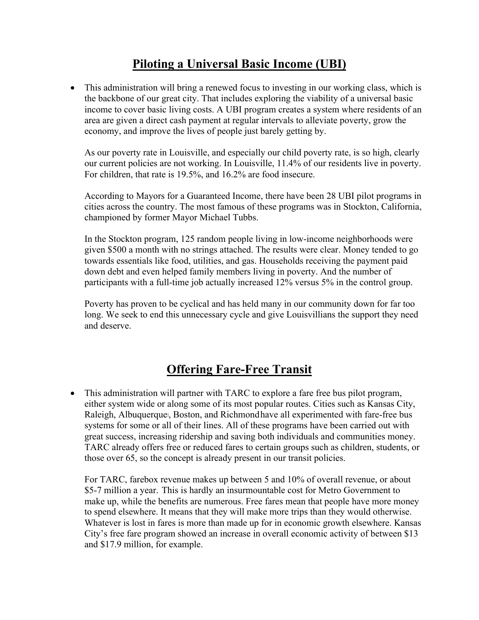# **Piloting a Universal Basic Income (UBI)**

• This administration will bring a renewed focus to investing in our working class, which is the backbone of our great city. That includes exploring the viability of a universal basic income to cover basic living costs. A UBI program creates a system where residents of an area are given a direct cash payment at regular intervals to alleviate poverty, grow the economy, and improve the lives of people just barely getting by.

As our poverty rate in Louisville, and especially our child poverty rate, is so high, clearly our current policies are not working. In Louisville, 11.4% of our residents live in poverty. For children, that rate is 19.5%, and 16.2% are food insecure.

According to Mayors for a Guaranteed Income, there have been 28 UBI pilot programs in cities across the country. The most famous of these programs was in Stockton, California, championed by former Mayor Michael Tubbs.

In the Stockton program, 125 random people living in low-income neighborhoods were given \$500 a month with no strings attached. The results were clear. Money tended to go towards essentials like food, utilities, and gas. Households receiving the payment paid down debt and even helped family members living in poverty. And the number of participants with a full-time job actually increased 12% versus 5% in the control group.

Poverty has proven to be cyclical and has held many in our community down for far too long. We seek to end this unnecessary cycle and give Louisvillians the support they need and deserve.

## **Offering Fare-Free Transit**

• This administration will partner with TARC to explore a fare free bus pilot program, either system wide or along some of its most popular routes. Cities such as Kansas City, Raleigh, Albuquerque, Boston, and Richmondhave all experimented with fare-free bus systems for some or all of their lines. All of these programs have been carried out with great success, increasing ridership and saving both individuals and communities money. TARC already offers free or reduced fares to certain groups such as children, students, or those over 65, so the concept is already present in our transit policies.

For TARC, farebox revenue makes up between 5 and 10% of overall revenue, or about \$5-7 million a year. This is hardly an insurmountable cost for Metro Government to make up, while the benefits are numerous. Free fares mean that people have more money to spend elsewhere. It means that they will make more trips than they would otherwise. Whatever is lost in fares is more than made up for in economic growth elsewhere. Kansas City's free fare program showed an increase in overall economic activity of between \$13 and \$17.9 million, for example.